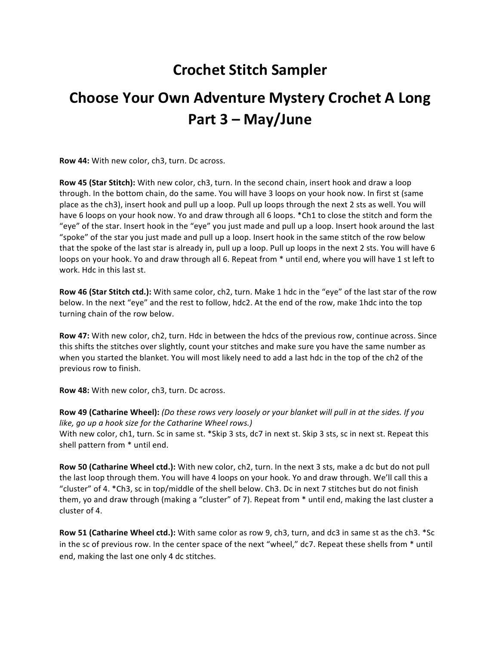## **Crochet Stitch Sampler**

## **Choose Your Own Adventure Mystery Crochet A Long Part 3 – May/June**

**Row 44:** With new color, ch3, turn. Dc across.

**Row 45 (Star Stitch):** With new color, ch3, turn. In the second chain, insert hook and draw a loop through. In the bottom chain, do the same. You will have 3 loops on your hook now. In first st (same place as the ch3), insert hook and pull up a loop. Pull up loops through the next 2 sts as well. You will have 6 loops on your hook now. Yo and draw through all 6 loops. \*Ch1 to close the stitch and form the "eye" of the star. Insert hook in the "eye" you just made and pull up a loop. Insert hook around the last "spoke" of the star you just made and pull up a loop. Insert hook in the same stitch of the row below that the spoke of the last star is already in, pull up a loop. Pull up loops in the next 2 sts. You will have 6 loops on your hook. Yo and draw through all 6. Repeat from  $*$  until end, where you will have 1 st left to work. Hdc in this last st.

**Row 46 (Star Stitch ctd.):** With same color, ch2, turn. Make 1 hdc in the "eye" of the last star of the row below. In the next "eye" and the rest to follow, hdc2. At the end of the row, make 1hdc into the top turning chain of the row below.

**Row 47:** With new color, ch2, turn. Hdc in between the hdcs of the previous row, continue across. Since this shifts the stitches over slightly, count your stitches and make sure you have the same number as when you started the blanket. You will most likely need to add a last hdc in the top of the ch2 of the previous row to finish.

**Row 48:** With new color, ch3, turn. Dc across.

**Row 49 (Catharine Wheel):** (Do these rows very loosely or your blanket will pull in at the sides. If you *like, go up a hook size for the Catharine Wheel rows.)* With new color, ch1, turn. Sc in same st. \*Skip 3 sts, dc7 in next st. Skip 3 sts, sc in next st. Repeat this shell pattern from \* until end.

**Row 50 (Catharine Wheel ctd.):** With new color, ch2, turn. In the next 3 sts, make a dc but do not pull the last loop through them. You will have 4 loops on your hook. Yo and draw through. We'll call this a "cluster" of 4.  $*$ Ch3, sc in top/middle of the shell below. Ch3. Dc in next 7 stitches but do not finish them, yo and draw through (making a "cluster" of 7). Repeat from  $*$  until end, making the last cluster a cluster of 4.

**Row 51 (Catharine Wheel ctd.):** With same color as row 9, ch3, turn, and dc3 in same st as the ch3. \*Sc in the sc of previous row. In the center space of the next "wheel," dc7. Repeat these shells from \* until end, making the last one only 4 dc stitches.